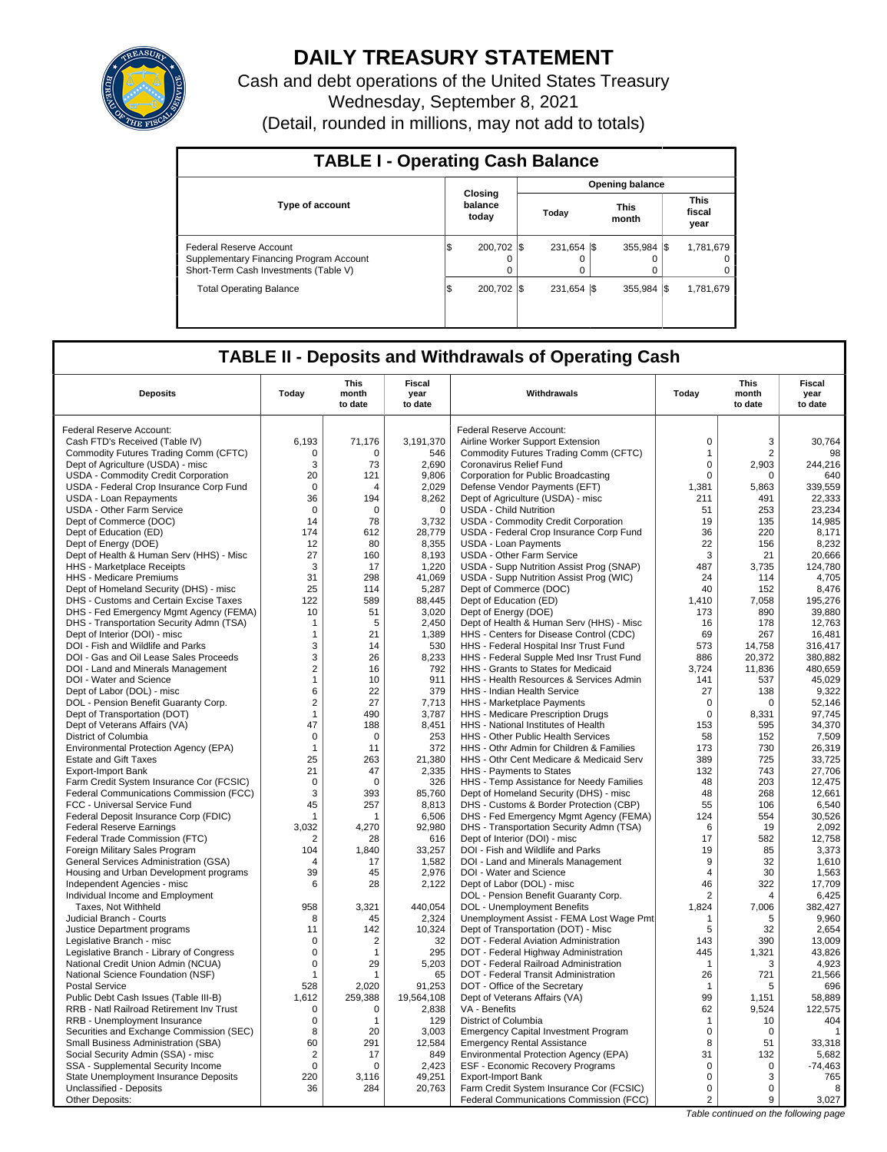

# **DAILY TREASURY STATEMENT**

Cash and debt operations of the United States Treasury Wednesday, September 8, 2021 (Detail, rounded in millions, may not add to totals)

| <b>TABLE I - Operating Cash Balance</b>                                                                     |     |                             |  |                         |  |                      |  |                               |  |  |
|-------------------------------------------------------------------------------------------------------------|-----|-----------------------------|--|-------------------------|--|----------------------|--|-------------------------------|--|--|
|                                                                                                             |     |                             |  | <b>Opening balance</b>  |  |                      |  |                               |  |  |
| <b>Type of account</b>                                                                                      |     | Closing<br>balance<br>today |  | Today                   |  | <b>This</b><br>month |  | <b>This</b><br>fiscal<br>year |  |  |
| Federal Reserve Account<br>Supplementary Financing Program Account<br>Short-Term Cash Investments (Table V) | ıэ  | 200.702<br>0                |  | 231.654 \\$<br>$\Omega$ |  | 355.984 \\$<br>0     |  | 1,781,679<br>0<br>0           |  |  |
| <b>Total Operating Balance</b>                                                                              | 1\$ | 200.702                     |  | 231.654 \\$             |  | 355.984 \\$          |  | 1,781,679                     |  |  |

## **TABLE II - Deposits and Withdrawals of Operating Cash**

| <b>Deposits</b>                                                       | Today              | <b>This</b><br>month<br>to date | <b>Fiscal</b><br>year<br>to date | Withdrawals                                                                          | Today          | <b>This</b><br>month<br>to date | Fiscal<br>year<br>to date |
|-----------------------------------------------------------------------|--------------------|---------------------------------|----------------------------------|--------------------------------------------------------------------------------------|----------------|---------------------------------|---------------------------|
| Federal Reserve Account:                                              |                    |                                 |                                  | Federal Reserve Account:                                                             |                |                                 |                           |
| Cash FTD's Received (Table IV)                                        | 6.193              | 71,176                          | 3,191,370                        | Airline Worker Support Extension                                                     | $\mathbf 0$    | 3                               | 30,764                    |
| Commodity Futures Trading Comm (CFTC)                                 | $\Omega$           | $\Omega$                        | 546                              | Commodity Futures Trading Comm (CFTC)                                                | $\mathbf{1}$   | $\overline{2}$                  | 98                        |
| Dept of Agriculture (USDA) - misc                                     | 3                  | 73                              | 2,690                            | Coronavirus Relief Fund                                                              | $\mathbf 0$    | 2,903                           | 244,216                   |
| USDA - Commodity Credit Corporation                                   | 20                 | 121                             | 9,806                            | Corporation for Public Broadcasting                                                  | $\mathbf 0$    | $\Omega$                        | 640                       |
| USDA - Federal Crop Insurance Corp Fund                               | 0                  | 4                               | 2.029                            | Defense Vendor Payments (EFT)                                                        | 1.381          | 5.863                           | 339.559                   |
| USDA - Loan Repayments                                                | 36                 | 194                             | 8,262                            | Dept of Agriculture (USDA) - misc                                                    | 211            | 491                             | 22,333                    |
| <b>USDA - Other Farm Service</b>                                      | 0                  | $\Omega$                        | $\mathbf 0$                      | <b>USDA - Child Nutrition</b>                                                        | 51             | 253                             | 23.234                    |
| Dept of Commerce (DOC)                                                | 14                 | 78                              | 3,732                            | USDA - Commodity Credit Corporation                                                  | 19             | 135                             | 14,985                    |
| Dept of Education (ED)                                                | 174                | 612                             | 28,779                           | USDA - Federal Crop Insurance Corp Fund                                              | 36             | 220                             | 8,171                     |
| Dept of Energy (DOE)                                                  | 12                 | 80                              | 8,355                            | <b>USDA - Loan Payments</b>                                                          | 22             | 156                             | 8,232                     |
| Dept of Health & Human Serv (HHS) - Misc                              | 27                 | 160                             | 8,193                            | <b>USDA - Other Farm Service</b>                                                     | 3              | 21                              | 20,666                    |
| HHS - Marketplace Receipts                                            | 3                  | 17                              | 1,220                            | USDA - Supp Nutrition Assist Prog (SNAP)                                             | 487            | 3,735                           | 124,780                   |
| HHS - Medicare Premiums                                               | 31                 | 298                             | 41.069                           | USDA - Supp Nutrition Assist Prog (WIC)                                              | 24             | 114                             | 4.705                     |
| Dept of Homeland Security (DHS) - misc                                | 25                 | 114                             | 5,287                            | Dept of Commerce (DOC)                                                               | 40             | 152                             | 8,476                     |
| DHS - Customs and Certain Excise Taxes                                | 122                | 589                             | 88,445                           | Dept of Education (ED)                                                               | 1.410          | 7,058                           | 195,276                   |
| DHS - Fed Emergency Mgmt Agency (FEMA)                                | 10                 | 51                              | 3,020                            | Dept of Energy (DOE)                                                                 | 173            | 890                             | 39,880                    |
| DHS - Transportation Security Admn (TSA)                              | $\mathbf 1$        | 5                               | 2.450                            | Dept of Health & Human Serv (HHS) - Misc                                             | 16             | 178                             | 12.763                    |
| Dept of Interior (DOI) - misc                                         | $\mathbf{1}$       | 21                              | 1,389                            | HHS - Centers for Disease Control (CDC)                                              | 69             | 267                             | 16,481                    |
| DOI - Fish and Wildlife and Parks                                     | 3                  | 14                              | 530                              | HHS - Federal Hospital Insr Trust Fund                                               | 573            | 14.758                          | 316.417                   |
| DOI - Gas and Oil Lease Sales Proceeds                                | 3                  | 26                              | 8,233                            | HHS - Federal Supple Med Insr Trust Fund                                             | 886            | 20,372                          | 380,882                   |
| DOI - Land and Minerals Management                                    | $\overline{2}$     | 16                              | 792                              | HHS - Grants to States for Medicaid                                                  | 3,724          | 11.836                          | 480,659                   |
| DOI - Water and Science                                               | $\mathbf{1}$       | 10                              | 911                              | HHS - Health Resources & Services Admin                                              | 141            | 537                             | 45,029                    |
| Dept of Labor (DOL) - misc                                            | 6                  | 22                              | 379                              | HHS - Indian Health Service                                                          | 27             | 138                             | 9,322                     |
| DOL - Pension Benefit Guaranty Corp.                                  | 2                  | 27                              | 7,713                            | HHS - Marketplace Payments                                                           | $\mathbf 0$    | $\mathbf 0$                     | 52,146                    |
| Dept of Transportation (DOT)                                          | $\mathbf{1}$       | 490                             | 3,787                            | HHS - Medicare Prescription Drugs                                                    | $\mathbf 0$    | 8,331                           | 97,745                    |
| Dept of Veterans Affairs (VA)                                         | 47                 | 188                             | 8,451<br>253                     | HHS - National Institutes of Health                                                  | 153<br>58      | 595                             | 34,370                    |
| District of Columbia                                                  | 0                  | $\mathbf 0$                     |                                  | HHS - Other Public Health Services                                                   |                | 152                             | 7,509                     |
| Environmental Protection Agency (EPA)<br><b>Estate and Gift Taxes</b> | $\mathbf{1}$<br>25 | 11<br>263                       | 372<br>21,380                    | HHS - Othr Admin for Children & Families<br>HHS - Othr Cent Medicare & Medicaid Serv | 173<br>389     | 730<br>725                      | 26,319<br>33,725          |
| <b>Export-Import Bank</b>                                             | 21                 | 47                              | 2,335                            | HHS - Payments to States                                                             | 132            | 743                             | 27,706                    |
| Farm Credit System Insurance Cor (FCSIC)                              | $\mathbf 0$        | $\mathbf 0$                     | 326                              | HHS - Temp Assistance for Needy Families                                             | 48             | 203                             | 12,475                    |
| Federal Communications Commission (FCC)                               | 3                  | 393                             | 85,760                           | Dept of Homeland Security (DHS) - misc                                               | 48             | 268                             | 12,661                    |
| FCC - Universal Service Fund                                          | 45                 | 257                             | 8,813                            | DHS - Customs & Border Protection (CBP)                                              | 55             | 106                             | 6,540                     |
| Federal Deposit Insurance Corp (FDIC)                                 | -1                 | 1                               | 6,506                            | DHS - Fed Emergency Mgmt Agency (FEMA)                                               | 124            | 554                             | 30,526                    |
| <b>Federal Reserve Earnings</b>                                       | 3,032              | 4,270                           | 92,980                           | DHS - Transportation Security Admn (TSA)                                             | 6              | 19                              | 2,092                     |
| Federal Trade Commission (FTC)                                        | 2                  | 28                              | 616                              | Dept of Interior (DOI) - misc                                                        | 17             | 582                             | 12,758                    |
| Foreign Military Sales Program                                        | 104                | 1,840                           | 33,257                           | DOI - Fish and Wildlife and Parks                                                    | 19             | 85                              | 3,373                     |
| General Services Administration (GSA)                                 | $\overline{4}$     | 17                              | 1,582                            | DOI - Land and Minerals Management                                                   | 9              | 32                              | 1,610                     |
| Housing and Urban Development programs                                | 39                 | 45                              | 2,976                            | DOI - Water and Science                                                              | $\overline{4}$ | 30                              | 1,563                     |
| Independent Agencies - misc                                           | 6                  | 28                              | 2,122                            | Dept of Labor (DOL) - misc                                                           | 46             | 322                             | 17,709                    |
| Individual Income and Employment                                      |                    |                                 |                                  | DOL - Pension Benefit Guaranty Corp.                                                 | $\overline{2}$ | 4                               | 6,425                     |
| Taxes, Not Withheld                                                   | 958                | 3,321                           | 440,054                          | DOL - Unemployment Benefits                                                          | 1,824          | 7,006                           | 382,427                   |
| Judicial Branch - Courts                                              | 8                  | 45                              | 2,324                            | Unemployment Assist - FEMA Lost Wage Pmt                                             | $\mathbf{1}$   | 5                               | 9.960                     |
| Justice Department programs                                           | 11                 | 142                             | 10,324                           | Dept of Transportation (DOT) - Misc                                                  | 5              | 32                              | 2,654                     |
| Legislative Branch - misc                                             | $\mathbf 0$        | $\overline{2}$                  | 32                               | DOT - Federal Aviation Administration                                                | 143            | 390                             | 13,009                    |
| Legislative Branch - Library of Congress                              | $\mathbf 0$        | 1                               | 295                              | DOT - Federal Highway Administration                                                 | 445            | 1,321                           | 43.826                    |
| National Credit Union Admin (NCUA)                                    | $\mathbf 0$        | 29                              | 5,203                            | DOT - Federal Railroad Administration                                                | $\overline{1}$ | 3                               | 4,923                     |
| National Science Foundation (NSF)                                     | $\mathbf{1}$       | 1                               | 65                               | DOT - Federal Transit Administration                                                 | 26             | 721                             | 21.566                    |
| <b>Postal Service</b>                                                 | 528                | 2,020                           | 91,253                           | DOT - Office of the Secretary                                                        | $\overline{1}$ | 5                               | 696                       |
| Public Debt Cash Issues (Table III-B)                                 | 1.612              | 259.388                         | 19,564,108                       | Dept of Veterans Affairs (VA)                                                        | 99             | 1.151                           | 58.889                    |
| RRB - Natl Railroad Retirement Inv Trust                              | $\mathsf 0$        | $\mathbf 0$                     | 2,838                            | VA - Benefits                                                                        | 62             | 9,524                           | 122,575                   |
| RRB - Unemployment Insurance                                          | $\mathbf 0$        | $\mathbf{1}$                    | 129                              | District of Columbia                                                                 | $\mathbf{1}$   | 10                              | 404                       |
| Securities and Exchange Commission (SEC)                              | 8                  | 20                              | 3,003                            | <b>Emergency Capital Investment Program</b>                                          | $\mathbf 0$    | $\mathbf 0$                     | $\mathbf{1}$              |
| Small Business Administration (SBA)                                   | 60                 | 291                             | 12,584                           | <b>Emergency Rental Assistance</b>                                                   | 8              | 51                              | 33,318                    |
| Social Security Admin (SSA) - misc                                    | $\overline{2}$     | 17                              | 849                              | Environmental Protection Agency (EPA)                                                | 31             | 132                             | 5,682                     |
| SSA - Supplemental Security Income                                    | $\mathbf 0$        | $\Omega$                        | 2,423                            | <b>ESF - Economic Recovery Programs</b>                                              | $\mathbf 0$    | $\mathbf 0$                     | $-74,463$                 |
| State Unemployment Insurance Deposits                                 | 220                | 3,116                           | 49,251                           | <b>Export-Import Bank</b>                                                            | $\mathbf 0$    | 3                               | 765                       |
| Unclassified - Deposits                                               | 36                 | 284                             | 20,763                           | Farm Credit System Insurance Cor (FCSIC)                                             | $\mathbf 0$    | $\Omega$                        | 8                         |
| Other Deposits:                                                       |                    |                                 |                                  | Federal Communications Commission (FCC)                                              | $\overline{2}$ | 9                               | 3,027                     |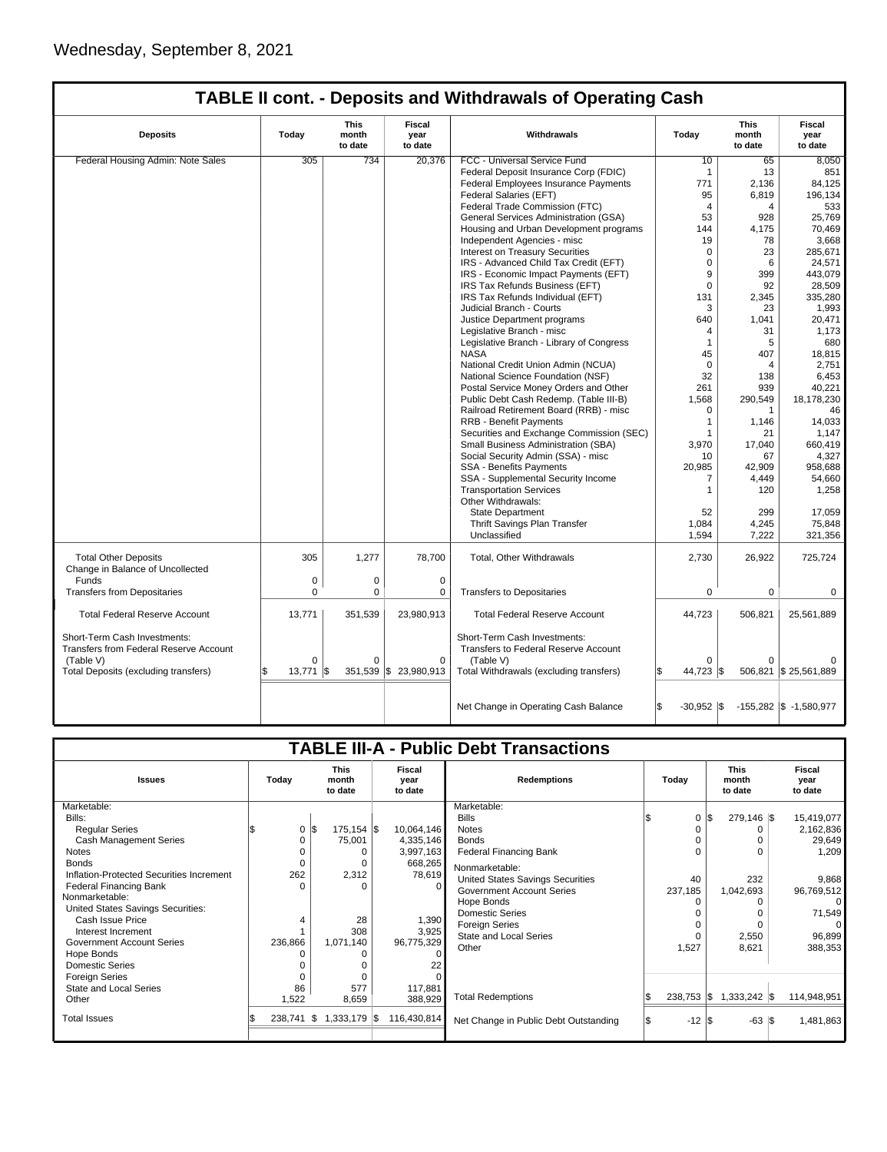## **TABLE II cont. - Deposits and Withdrawals of Operating Cash**

| <b>Deposits</b>                                                               | Today                    | This<br>month<br>to date | Fiscal<br>year<br>to date  | Withdrawals                                                                 | Today                 | This<br>month<br>to date | Fiscal<br>year<br>to date  |
|-------------------------------------------------------------------------------|--------------------------|--------------------------|----------------------------|-----------------------------------------------------------------------------|-----------------------|--------------------------|----------------------------|
| Federal Housing Admin: Note Sales                                             | 305                      | 734                      | 20,376                     | FCC - Universal Service Fund                                                | 10                    | 65                       | 8,050                      |
|                                                                               |                          |                          |                            | Federal Deposit Insurance Corp (FDIC)                                       | $\mathbf{1}$          | 13                       | 851                        |
|                                                                               |                          |                          |                            | Federal Employees Insurance Payments                                        | 771                   | 2,136                    | 84,125                     |
|                                                                               |                          |                          |                            | Federal Salaries (EFT)                                                      | 95                    | 6,819                    | 196,134                    |
|                                                                               |                          |                          |                            | Federal Trade Commission (FTC)                                              | $\overline{4}$        | 4                        | 533                        |
|                                                                               |                          |                          |                            | General Services Administration (GSA)                                       | 53                    | 928                      | 25,769                     |
|                                                                               |                          |                          |                            | Housing and Urban Development programs                                      | 144                   | 4.175                    | 70,469                     |
|                                                                               |                          |                          |                            | Independent Agencies - misc                                                 | 19                    | 78                       | 3,668                      |
|                                                                               |                          |                          |                            | Interest on Treasury Securities                                             | $\mathbf 0$           | 23                       | 285,671                    |
|                                                                               |                          |                          |                            | IRS - Advanced Child Tax Credit (EFT)                                       | $\Omega$              | 6                        | 24,571                     |
|                                                                               |                          |                          |                            | IRS - Economic Impact Payments (EFT)                                        | 9                     | 399                      | 443.079                    |
|                                                                               |                          |                          |                            | IRS Tax Refunds Business (EFT)                                              | $\mathbf 0$           | 92                       | 28,509                     |
|                                                                               |                          |                          |                            | IRS Tax Refunds Individual (EFT)                                            | 131                   | 2.345                    | 335,280                    |
|                                                                               |                          |                          |                            | Judicial Branch - Courts                                                    |                       | 23                       |                            |
|                                                                               |                          |                          |                            |                                                                             | 3<br>640              |                          | 1,993                      |
|                                                                               |                          |                          |                            | Justice Department programs                                                 |                       | 1,041                    | 20,471                     |
|                                                                               |                          |                          |                            | Legislative Branch - misc                                                   | $\overline{4}$        | 31                       | 1,173                      |
|                                                                               |                          |                          |                            | Legislative Branch - Library of Congress                                    | $\mathbf{1}$          | 5                        | 680                        |
|                                                                               |                          |                          |                            | <b>NASA</b>                                                                 | 45                    | 407                      | 18,815                     |
|                                                                               |                          |                          |                            | National Credit Union Admin (NCUA)                                          | $\Omega$              | 4                        | 2,751                      |
|                                                                               |                          |                          |                            | National Science Foundation (NSF)                                           | 32                    | 138                      | 6,453                      |
|                                                                               |                          |                          |                            | Postal Service Money Orders and Other                                       | 261                   | 939                      | 40,221                     |
|                                                                               |                          |                          |                            | Public Debt Cash Redemp. (Table III-B)                                      | 1,568                 | 290,549                  | 18,178,230                 |
|                                                                               |                          |                          |                            | Railroad Retirement Board (RRB) - misc                                      | $\Omega$              | 1                        | 46                         |
|                                                                               |                          |                          |                            | <b>RRB - Benefit Payments</b>                                               | $\mathbf{1}$          | 1,146                    | 14,033                     |
|                                                                               |                          |                          |                            | Securities and Exchange Commission (SEC)                                    | 1                     | 21                       | 1,147                      |
|                                                                               |                          |                          |                            | Small Business Administration (SBA)                                         | 3,970                 | 17,040                   | 660,419                    |
|                                                                               |                          |                          |                            | Social Security Admin (SSA) - misc                                          | 10                    | 67                       | 4,327                      |
|                                                                               |                          |                          |                            | <b>SSA - Benefits Payments</b>                                              | 20,985                | 42,909                   | 958.688                    |
|                                                                               |                          |                          |                            | SSA - Supplemental Security Income                                          | 7                     | 4,449                    | 54,660                     |
|                                                                               |                          |                          |                            | <b>Transportation Services</b>                                              | $\mathbf{1}$          | 120                      | 1,258                      |
|                                                                               |                          |                          |                            | Other Withdrawals:                                                          |                       |                          |                            |
|                                                                               |                          |                          |                            | <b>State Department</b>                                                     | 52                    | 299                      | 17.059                     |
|                                                                               |                          |                          |                            | Thrift Savings Plan Transfer                                                | 1,084                 | 4,245                    | 75,848                     |
|                                                                               |                          |                          |                            | Unclassified                                                                | 1,594                 | 7,222                    | 321,356                    |
| <b>Total Other Deposits</b>                                                   | 305                      | 1,277                    | 78,700                     | Total, Other Withdrawals                                                    | 2,730                 | 26,922                   | 725,724                    |
| Change in Balance of Uncollected                                              |                          |                          |                            |                                                                             |                       |                          |                            |
| Funds                                                                         | 0                        | 0                        | $\mathbf 0$                |                                                                             |                       |                          |                            |
| <b>Transfers from Depositaries</b>                                            | 0                        | $\mathbf 0$              | $\mathbf 0$                | <b>Transfers to Depositaries</b>                                            | $\mathbf 0$           | $\mathbf 0$              | $\mathbf 0$                |
| <b>Total Federal Reserve Account</b>                                          | 13,771                   | 351,539                  | 23,980,913                 | <b>Total Federal Reserve Account</b>                                        | 44,723                | 506,821                  | 25,561,889                 |
| Short-Term Cash Investments:<br><b>Transfers from Federal Reserve Account</b> |                          |                          |                            | Short-Term Cash Investments:<br><b>Transfers to Federal Reserve Account</b> |                       |                          |                            |
| (Table V)<br>Total Deposits (excluding transfers)                             | $\Omega$<br>S.<br>13,771 | 0<br>1\$                 | 0<br>351,539 \$ 23,980,913 | (Table V)<br>Total Withdrawals (excluding transfers)                        | $\Omega$<br>44,723 \$ | 0                        | 506,821 \$25,561,889       |
|                                                                               |                          |                          |                            | Net Change in Operating Cash Balance                                        | l\$<br>$-30,952$ \$   |                          | $-155,282$ \$ $-1,580,977$ |

| <b>TABLE III-A - Public Debt Transactions</b> |              |                                 |                           |                                       |  |                                 |                           |             |  |
|-----------------------------------------------|--------------|---------------------------------|---------------------------|---------------------------------------|--|---------------------------------|---------------------------|-------------|--|
| <b>Issues</b>                                 | Today        | <b>This</b><br>month<br>to date | Fiscal<br>year<br>to date | <b>Redemptions</b><br>Today           |  | <b>This</b><br>month<br>to date | Fiscal<br>year<br>to date |             |  |
| Marketable:                                   |              |                                 |                           | Marketable:                           |  |                                 |                           |             |  |
| Bills:                                        |              |                                 |                           | <b>Bills</b>                          |  | 0                               | l\$<br>$279,146$ \$       | 15,419,077  |  |
| <b>Regular Series</b>                         | 0            | l\$<br>$175, 154$ \$            | 10,064,146                | <b>Notes</b>                          |  |                                 |                           | 2,162,836   |  |
| <b>Cash Management Series</b>                 |              | 75,001                          | 4,335,146                 | <b>Bonds</b>                          |  |                                 |                           | 29,649      |  |
| Notes                                         |              | O                               | 3,997,163                 | <b>Federal Financing Bank</b>         |  |                                 | O                         | 1,209       |  |
| <b>Bonds</b>                                  |              |                                 | 668,265                   | Nonmarketable:                        |  |                                 |                           |             |  |
| Inflation-Protected Securities Increment      | 262          | 2,312                           | 78,619                    | United States Savings Securities      |  | 40                              | 232                       | 9,868       |  |
| <b>Federal Financing Bank</b>                 | U            | O                               | 0                         | <b>Government Account Series</b>      |  | 237,185                         | 1,042,693                 | 96,769,512  |  |
| Nonmarketable:                                |              |                                 |                           | Hope Bonds                            |  |                                 |                           | $\Omega$    |  |
| United States Savings Securities:             |              |                                 |                           | <b>Domestic Series</b>                |  |                                 |                           | 71,549      |  |
| Cash Issue Price                              | 4            | 28                              | 1,390                     | <b>Foreign Series</b>                 |  |                                 | $\Omega$                  |             |  |
| Interest Increment                            |              | 308                             | 3,925                     | State and Local Series                |  |                                 | 2,550                     | 96,899      |  |
| <b>Government Account Series</b>              | 236,866      | 1,071,140                       | 96,775,329                | Other                                 |  | 1,527                           | 8,621                     | 388,353     |  |
| Hope Bonds                                    |              |                                 |                           |                                       |  |                                 |                           |             |  |
| <b>Domestic Series</b>                        |              |                                 |                           |                                       |  |                                 |                           |             |  |
| <b>Foreign Series</b>                         |              |                                 |                           |                                       |  |                                 |                           |             |  |
| State and Local Series                        | 86           | 577                             | 117,881                   |                                       |  |                                 |                           |             |  |
| Other                                         | 1,522        | 8,659                           | 388,929                   | <b>Total Redemptions</b>              |  | $238,753$ \$                    | $1,333,242$ \$            | 114,948,951 |  |
| <b>Total Issues</b>                           | $238,741$ \$ | $1,333,179$ \$                  | 116,430,814               | Net Change in Public Debt Outstanding |  | $-12$ \$                        | $-63$ $\sqrt{3}$          | 1,481,863   |  |
|                                               |              |                                 |                           |                                       |  |                                 |                           |             |  |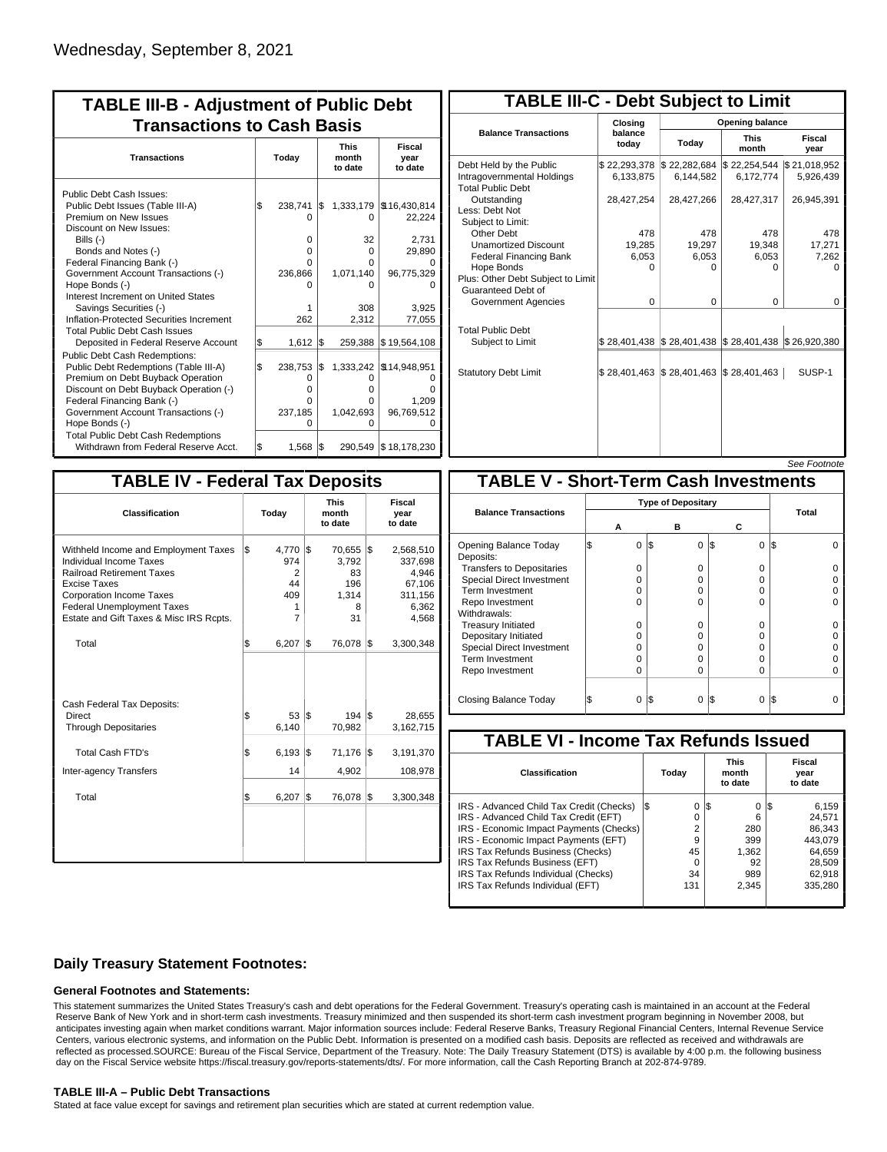| <b>TABLE III-B - Adjustment of Public Debt</b><br><b>Transactions to Cash Basis</b> |       |         |     |           |                          |  |  |  |  |                                 |                           |
|-------------------------------------------------------------------------------------|-------|---------|-----|-----------|--------------------------|--|--|--|--|---------------------------------|---------------------------|
| <b>Transactions</b>                                                                 | Today |         |     |           |                          |  |  |  |  | <b>This</b><br>month<br>to date | Fiscal<br>year<br>to date |
| Public Debt Cash Issues:<br>Public Debt Issues (Table III-A)                        | l\$   | 238,741 | I\$ |           | 1,333,179   \$16,430,814 |  |  |  |  |                                 |                           |
| Premium on New Issues<br>Discount on New Issues:                                    |       | O       |     | 0         | 22,224                   |  |  |  |  |                                 |                           |
| Bills $(-)$                                                                         |       | 0       |     | 32        | 2,731                    |  |  |  |  |                                 |                           |
| Bonds and Notes (-)                                                                 |       | O       |     | $\Omega$  | 29,890                   |  |  |  |  |                                 |                           |
| Federal Financing Bank (-)                                                          |       | o       |     | 0         |                          |  |  |  |  |                                 |                           |
| Government Account Transactions (-)                                                 |       | 236,866 |     | 1,071,140 | 96,775,329               |  |  |  |  |                                 |                           |
| Hope Bonds (-)                                                                      |       |         |     |           |                          |  |  |  |  |                                 |                           |
| Interest Increment on United States                                                 |       |         |     |           |                          |  |  |  |  |                                 |                           |
| Savings Securities (-)                                                              |       | 1       |     | 308       | 3.925                    |  |  |  |  |                                 |                           |
| Inflation-Protected Securities Increment                                            |       | 262     |     | 2,312     | 77,055                   |  |  |  |  |                                 |                           |
| <b>Total Public Debt Cash Issues</b><br>Deposited in Federal Reserve Account        | Ŝ.    | 1,612   | 1\$ |           | 259,388 \$19,564,108     |  |  |  |  |                                 |                           |
| <b>Public Debt Cash Redemptions:</b><br>Public Debt Redemptions (Table III-A)       | l\$   | 238,753 | l\$ |           | 1,333,242   \$14,948,951 |  |  |  |  |                                 |                           |
| Premium on Debt Buyback Operation                                                   |       | Ο       |     | O         |                          |  |  |  |  |                                 |                           |
| Discount on Debt Buyback Operation (-)                                              |       | o       |     | o         |                          |  |  |  |  |                                 |                           |
| Federal Financing Bank (-)                                                          |       | 0       |     | o         | 1.209                    |  |  |  |  |                                 |                           |
| Government Account Transactions (-)                                                 |       | 237,185 |     | 1,042,693 | 96,769,512               |  |  |  |  |                                 |                           |
| Hope Bonds (-)                                                                      |       | 0       |     | O         |                          |  |  |  |  |                                 |                           |
| <b>Total Public Debt Cash Redemptions</b>                                           |       |         |     |           |                          |  |  |  |  |                                 |                           |
| Withdrawn from Federal Reserve Acct.                                                | l\$   | 1,568   | l\$ |           | 290,549   \$18,178,230   |  |  |  |  |                                 |                           |

| <b>TABLE III-C - Debt Subject to Limit</b>                                        |                           |                                                                                                     |                           |                           |  |  |  |  |  |
|-----------------------------------------------------------------------------------|---------------------------|-----------------------------------------------------------------------------------------------------|---------------------------|---------------------------|--|--|--|--|--|
|                                                                                   | Closing                   | Opening balance                                                                                     |                           |                           |  |  |  |  |  |
| <b>Balance Transactions</b>                                                       | balance<br>todav          | Today                                                                                               | <b>This</b><br>month      | Fiscal<br>year            |  |  |  |  |  |
| Debt Held by the Public<br>Intragovernmental Holdings<br><b>Total Public Debt</b> | \$22,293,378<br>6,133,875 | \$22,282,684<br>6.144.582                                                                           | \$22,254,544<br>6,172,774 | \$21,018,952<br>5,926,439 |  |  |  |  |  |
| Outstanding<br>Less: Debt Not<br>Subject to Limit:                                | 28,427,254                | 28,427,266                                                                                          | 28,427,317                | 26,945,391                |  |  |  |  |  |
| Other Debt                                                                        | 478                       | 478                                                                                                 | 478                       | 478                       |  |  |  |  |  |
| <b>Unamortized Discount</b>                                                       | 19,285                    | 19,297                                                                                              | 19,348                    | 17,271                    |  |  |  |  |  |
| <b>Federal Financing Bank</b>                                                     | 6,053                     | 6,053                                                                                               | 6,053                     | 7,262                     |  |  |  |  |  |
| Hope Bonds<br>Plus: Other Debt Subject to Limit<br>Guaranteed Debt of             | U                         | U                                                                                                   | o                         |                           |  |  |  |  |  |
| Government Agencies                                                               | 0                         | 0                                                                                                   | 0                         | $\Omega$                  |  |  |  |  |  |
| <b>Total Public Debt</b><br>Subject to Limit                                      |                           | $\frac{1}{2}$ 28,401,438 $\frac{1}{2}$ 28,401,438 $\frac{1}{2}$ 28,401,438 $\frac{1}{2}$ 26,920,380 |                           |                           |  |  |  |  |  |
| <b>Statutory Debt Limit</b>                                                       | \$28,401,463              | $\frac{1}{2}$ 28,401,463 $\frac{1}{2}$ 28,401,463                                                   |                           | SUSP-1                    |  |  |  |  |  |
|                                                                                   |                           |                                                                                                     |                           |                           |  |  |  |  |  |

See Footnote

|                                                                                                                                                                                                                                                      | <b>TABLE IV - Federal Tax Deposits</b>             |                                                     |                                                                      |  |  |  |  |  |  |  |
|------------------------------------------------------------------------------------------------------------------------------------------------------------------------------------------------------------------------------------------------------|----------------------------------------------------|-----------------------------------------------------|----------------------------------------------------------------------|--|--|--|--|--|--|--|
| Classification                                                                                                                                                                                                                                       | Today                                              | <b>This</b><br>month<br>to date                     | Fiscal<br>year<br>to date                                            |  |  |  |  |  |  |  |
| Withheld Income and Employment Taxes<br><b>Individual Income Taxes</b><br><b>Railroad Retirement Taxes</b><br><b>Excise Taxes</b><br><b>Corporation Income Taxes</b><br><b>Federal Unemployment Taxes</b><br>Estate and Gift Taxes & Misc IRS Rcpts. | l\$<br>4,770 \$<br>974<br>2<br>44<br>409<br>1<br>7 | 70,655 \$<br>3,792<br>83<br>196<br>1.314<br>8<br>31 | 2,568,510<br>337,698<br>4,946<br>67,106<br>311,156<br>6,362<br>4,568 |  |  |  |  |  |  |  |
| Total                                                                                                                                                                                                                                                | \$<br>6,207                                        | 1\$<br>76,078                                       | 1\$<br>3,300,348                                                     |  |  |  |  |  |  |  |
| Cash Federal Tax Deposits:<br>Direct<br><b>Through Depositaries</b>                                                                                                                                                                                  | 53 S<br>\$<br>6,140                                | $194$ $\sqrt{5}$<br>70,982                          | 28,655<br>3,162,715                                                  |  |  |  |  |  |  |  |
| <b>Total Cash FTD's</b>                                                                                                                                                                                                                              | \$<br>6,193                                        | 1\$<br>71,176                                       | 1\$<br>3,191,370                                                     |  |  |  |  |  |  |  |
| <b>Inter-agency Transfers</b>                                                                                                                                                                                                                        | 14                                                 | 4,902                                               | 108,978                                                              |  |  |  |  |  |  |  |
| Total                                                                                                                                                                                                                                                | \$<br>6,207                                        | 1\$<br>76,078                                       | l\$<br>3,300,348                                                     |  |  |  |  |  |  |  |
|                                                                                                                                                                                                                                                      |                                                    |                                                     |                                                                      |  |  |  |  |  |  |  |

|                                              |   |                           |     |          |                 | טעט ו טעווענע |  |  |
|----------------------------------------------|---|---------------------------|-----|----------|-----------------|---------------|--|--|
| <b>TABLE V - Short-Term Cash Investments</b> |   |                           |     |          |                 |               |  |  |
|                                              |   | <b>Type of Depositary</b> |     |          |                 |               |  |  |
| <b>Balance Transactions</b>                  |   | А                         |     | в        | С               | Total         |  |  |
|                                              |   |                           |     |          |                 |               |  |  |
| Opening Balance Today<br>Deposits:           | S | $\Omega$                  | 1\$ | $\Omega$ | l\$<br>$\Omega$ | IS            |  |  |
| <b>Transfers to Depositaries</b>             |   | O                         |     | $\Omega$ | O               |               |  |  |
| <b>Special Direct Investment</b>             |   | O                         |     | $\Omega$ | 0               |               |  |  |
| Term Investment                              |   | O                         |     | $\Omega$ | O               |               |  |  |
| Repo Investment                              |   | O                         |     | $\Omega$ | 0               |               |  |  |
| Withdrawals:                                 |   |                           |     |          |                 |               |  |  |
| <b>Treasury Initiated</b>                    |   | 0                         |     | $\Omega$ | $\Omega$        |               |  |  |
| Depositary Initiated                         |   | O                         |     | 0        | 0               |               |  |  |
| <b>Special Direct Investment</b>             |   | O                         |     | $\Omega$ | 0               |               |  |  |
| <b>Term Investment</b>                       |   | O                         |     | $\Omega$ | 0               |               |  |  |
| Repo Investment                              |   | 0                         |     | $\Omega$ | 0               |               |  |  |
|                                              |   |                           |     |          |                 |               |  |  |
| Closing Balance Today                        |   | 0                         | I\$ | $\Omega$ | I\$<br>0        | IS            |  |  |

| <b>TABLE VI - Income Tax Refunds Issued</b> |         |                                 |                           |  |  |  |  |  |  |  |
|---------------------------------------------|---------|---------------------------------|---------------------------|--|--|--|--|--|--|--|
| Classification                              | Today   | <b>This</b><br>month<br>to date | Fiscal<br>year<br>to date |  |  |  |  |  |  |  |
| IRS - Advanced Child Tax Credit (Checks)    | 0<br>13 | 0<br>13                         | 6,159<br>125              |  |  |  |  |  |  |  |
| IRS - Advanced Child Tax Credit (EFT)       | 0       | 6                               | 24.571                    |  |  |  |  |  |  |  |
| IRS - Economic Impact Payments (Checks)     | 2       | 280                             | 86.343                    |  |  |  |  |  |  |  |
| IRS - Economic Impact Payments (EFT)        | 9       | 399                             | 443.079                   |  |  |  |  |  |  |  |
| IRS Tax Refunds Business (Checks)           | 45      | 1.362                           | 64.659                    |  |  |  |  |  |  |  |
| IRS Tax Refunds Business (EFT)              | 0       | 92                              | 28.509                    |  |  |  |  |  |  |  |
| IRS Tax Refunds Individual (Checks)         | 34      | 989                             | 62,918                    |  |  |  |  |  |  |  |
| IRS Tax Refunds Individual (EFT)            | 131     | 2.345                           | 335,280                   |  |  |  |  |  |  |  |

### **Daily Treasury Statement Footnotes:**

### **General Footnotes and Statements:**

This statement summarizes the United States Treasury's cash and debt operations for the Federal Government. Treasury's operating cash is maintained in an account at the Federal Reserve Bank of New York and in short-term cash investments. Treasury minimized and then suspended its short-term cash investment program beginning in November 2008, but anticipates investing again when market conditions warrant. Major information sources include: Federal Reserve Banks, Treasury Regional Financial Centers, Internal Revenue Service Centers, various electronic systems, and information on the Public Debt. Information is presented on a modified cash basis. Deposits are reflected as received and withdrawals are reflected as processed.SOURCE: Bureau of the Fiscal Service, Department of the Treasury. Note: The Daily Treasury Statement (DTS) is available by 4:00 p.m. the following business day on the Fiscal Service website https://fiscal.treasury.gov/reports-statements/dts/. For more information, call the Cash Reporting Branch at 202-874-9789.

### **TABLE III-A – Public Debt Transactions**

Stated at face value except for savings and retirement plan securities which are stated at current redemption value.